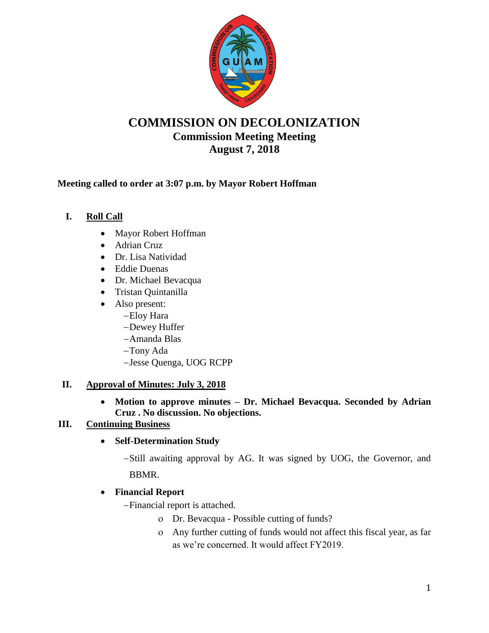

# **COMMISSION ON DECOLONIZATION Commission Meeting Meeting August 7, 2018**

## **Meeting called to order at 3:07 p.m. by Mayor Robert Hoffman**

## **I. Roll Call**

- Mayor Robert Hoffman
- Adrian Cruz
- Dr. Lisa Natividad
- Eddie Duenas
- Dr. Michael Bevacqua
- Tristan Quintanilla
- Also present:
	- Eloy Hara
	- Dewey Huffer
	- Amanda Blas
	- Tony Ada
	- Jesse Quenga, UOG RCPP

# **II. Approval of Minutes: July 3, 2018**

 **Motion to approve minutes – Dr. Michael Bevacqua. Seconded by Adrian Cruz . No discussion. No objections.** 

# **III. Continuing Business**

**Self-Determination Study**

-Still awaiting approval by AG. It was signed by UOG, the Governor, and BBMR.

### **Financial Report**

Financial report is attached.

- Dr. Bevacqua Possible cutting of funds?
- Any further cutting of funds would not affect this fiscal year, as far as we're concerned. It would affect FY2019.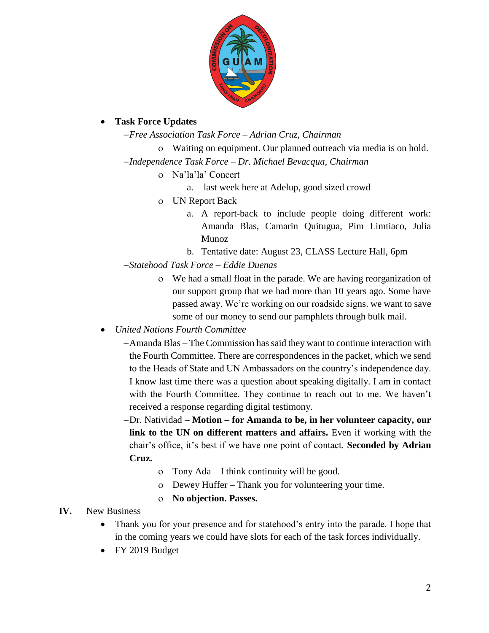

### **Task Force Updates**

- *Free Association Task Force – Adrian Cruz, Chairman*
	- Waiting on equipment. Our planned outreach via media is on hold.

*Independence Task Force – Dr. Michael Bevacqua, Chairman*

- Na'la'la' Concert
	- a. last week here at Adelup, good sized crowd
- UN Report Back
	- a. A report-back to include people doing different work: Amanda Blas, Camarin Quitugua, Pim Limtiaco, Julia Munoz
	- b. Tentative date: August 23, CLASS Lecture Hall, 6pm
- *Statehood Task Force – Eddie Duenas*
	- We had a small float in the parade. We are having reorganization of our support group that we had more than 10 years ago. Some have passed away. We're working on our roadside signs. we want to save some of our money to send our pamphlets through bulk mail.
- *United Nations Fourth Committee*
	- Amanda Blas The Commission has said they want to continue interaction with the Fourth Committee. There are correspondences in the packet, which we send to the Heads of State and UN Ambassadors on the country's independence day. I know last time there was a question about speaking digitally. I am in contact with the Fourth Committee. They continue to reach out to me. We haven't received a response regarding digital testimony.
	- Dr. Natividad **Motion – for Amanda to be, in her volunteer capacity, our link to the UN on different matters and affairs.** Even if working with the chair's office, it's best if we have one point of contact. **Seconded by Adrian Cruz.** 
		- Tony Ada I think continuity will be good.
		- Dewey Huffer Thank you for volunteering your time.
		- **No objection. Passes.**

#### **IV.** New Business

- Thank you for your presence and for statehood's entry into the parade. I hope that in the coming years we could have slots for each of the task forces individually.
- FY 2019 Budget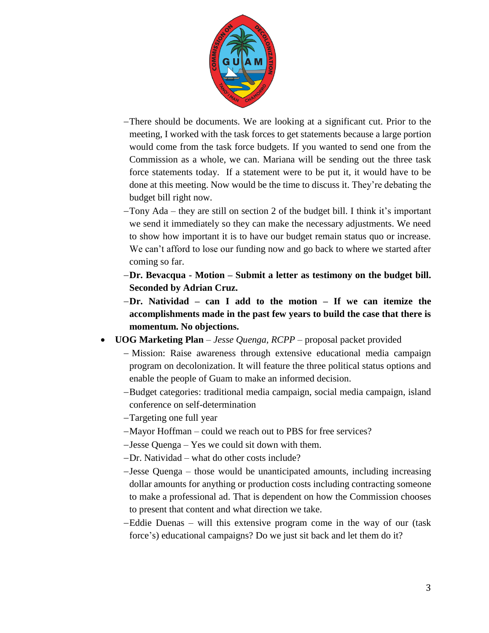

- There should be documents. We are looking at a significant cut. Prior to the meeting, I worked with the task forces to get statements because a large portion would come from the task force budgets. If you wanted to send one from the Commission as a whole, we can. Mariana will be sending out the three task force statements today. If a statement were to be put it, it would have to be done at this meeting. Now would be the time to discuss it. They're debating the budget bill right now.
- Tony Ada they are still on section 2 of the budget bill. I think it's important we send it immediately so they can make the necessary adjustments. We need to show how important it is to have our budget remain status quo or increase. We can't afford to lose our funding now and go back to where we started after coming so far.
- **Dr. Bevacqua - Motion – Submit a letter as testimony on the budget bill. Seconded by Adrian Cruz.**
- **Dr. Natividad – can I add to the motion – If we can itemize the accomplishments made in the past few years to build the case that there is momentum. No objections.**
- **UOG Marketing Plan** *Jesse Quenga, RCPP* proposal packet provided
	- Mission: Raise awareness through extensive educational media campaign program on decolonization. It will feature the three political status options and enable the people of Guam to make an informed decision.
	- Budget categories: traditional media campaign, social media campaign, island conference on self-determination
	- Targeting one full year
	- Mayor Hoffman could we reach out to PBS for free services?
	- Jesse Quenga Yes we could sit down with them.
	- Dr. Natividad what do other costs include?
	- Jesse Quenga those would be unanticipated amounts, including increasing dollar amounts for anything or production costs including contracting someone to make a professional ad. That is dependent on how the Commission chooses to present that content and what direction we take.
	- Eddie Duenas will this extensive program come in the way of our (task force's) educational campaigns? Do we just sit back and let them do it?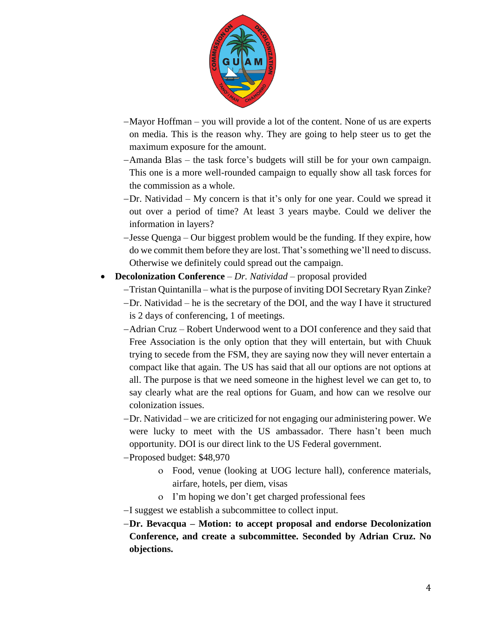

- Mayor Hoffman you will provide a lot of the content. None of us are experts on media. This is the reason why. They are going to help steer us to get the maximum exposure for the amount.
- Amanda Blas the task force's budgets will still be for your own campaign. This one is a more well-rounded campaign to equally show all task forces for the commission as a whole.
- -Dr. Natividad My concern is that it's only for one year. Could we spread it out over a period of time? At least 3 years maybe. Could we deliver the information in layers?
- Jesse Quenga Our biggest problem would be the funding. If they expire, how do we commit them before they are lost. That's something we'll need to discuss. Otherwise we definitely could spread out the campaign.
- **Decolonization Conference** *Dr. Natividad* proposal provided
	- Tristan Quintanilla what is the purpose of inviting DOI Secretary Ryan Zinke?
	- Dr. Natividad he is the secretary of the DOI, and the way I have it structured is 2 days of conferencing, 1 of meetings.
	- Adrian Cruz Robert Underwood went to a DOI conference and they said that Free Association is the only option that they will entertain, but with Chuuk trying to secede from the FSM, they are saying now they will never entertain a compact like that again. The US has said that all our options are not options at all. The purpose is that we need someone in the highest level we can get to, to say clearly what are the real options for Guam, and how can we resolve our colonization issues.
	- Dr. Natividad we are criticized for not engaging our administering power. We were lucky to meet with the US ambassador. There hasn't been much opportunity. DOI is our direct link to the US Federal government.
	- Proposed budget: \$48,970
		- Food, venue (looking at UOG lecture hall), conference materials, airfare, hotels, per diem, visas
		- I'm hoping we don't get charged professional fees

-I suggest we establish a subcommittee to collect input.

**Dr. Bevacqua – Motion: to accept proposal and endorse Decolonization Conference, and create a subcommittee. Seconded by Adrian Cruz. No objections.**